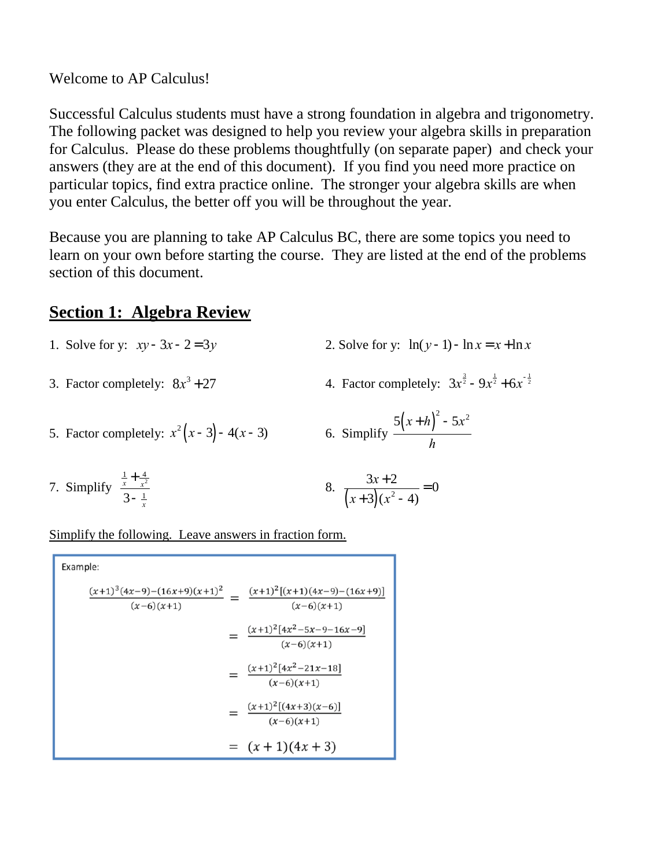#### Welcome to AP Calculus!

Successful Calculus students must have a strong foundation in algebra and trigonometry. The following packet was designed to help you review your algebra skills in preparation for Calculus. Please do these problems thoughtfully (on separate paper) and check your answers (they are at the end of this document). If you find you need more practice on particular topics, find extra practice online. The stronger your algebra skills are when you enter Calculus, the better off you will be throughout the year.

Because you are planning to take AP Calculus BC, there are some topics you need to learn on your own before starting the course. They are listed at the end of the problems section of this document.

## **Section 1: Algebra Review**

- 1. Solve for y:  $xy 3x 2 = 3y$ 2. Solve for y:  $\ln(y-1) - \ln x = x + \ln x$
- 3. Factor completely:  $8x^3 + 27$  4. Factor completely:
- 
- + 27 4. Factor completely:  $3x^{\frac{3}{2}} 9x^{\frac{1}{2}} + 6x^{-\frac{1}{2}}$
- 5. Factor completely:  $x^2(x-3) 4(x-3)$  6. Simplify

5. Simplify 
$$
\frac{5(x+h)^2 - 5x^2}{h}
$$

7. Simplify  $\frac{x}{2}$  8.  $\frac{1}{x} + \frac{4}{x^2}$ *x* 2  $3 - \frac{1}{x}$ *x*  $3x + 2$  $(x+3)(x^2-4)$ = 0

Simplify the following. Leave answers in fraction form.

Example:  
\n
$$
\frac{(x+1)^3(4x-9)-(16x+9)(x+1)^2}{(x-6)(x+1)} = \frac{(x+1)^2[(x+1)(4x-9)-(16x+9)]}{(x-6)(x+1)}
$$
\n
$$
= \frac{(x+1)^2[4x^2-5x-9-16x-9]}{(x-6)(x+1)}
$$
\n
$$
= \frac{(x+1)^2[4x^2-21x-18]}{(x-6)(x+1)}
$$
\n
$$
= \frac{(x+1)^2[(4x+3)(x-6)]}{(x-6)(x+1)}
$$
\n
$$
= (x+1)(4x+3)
$$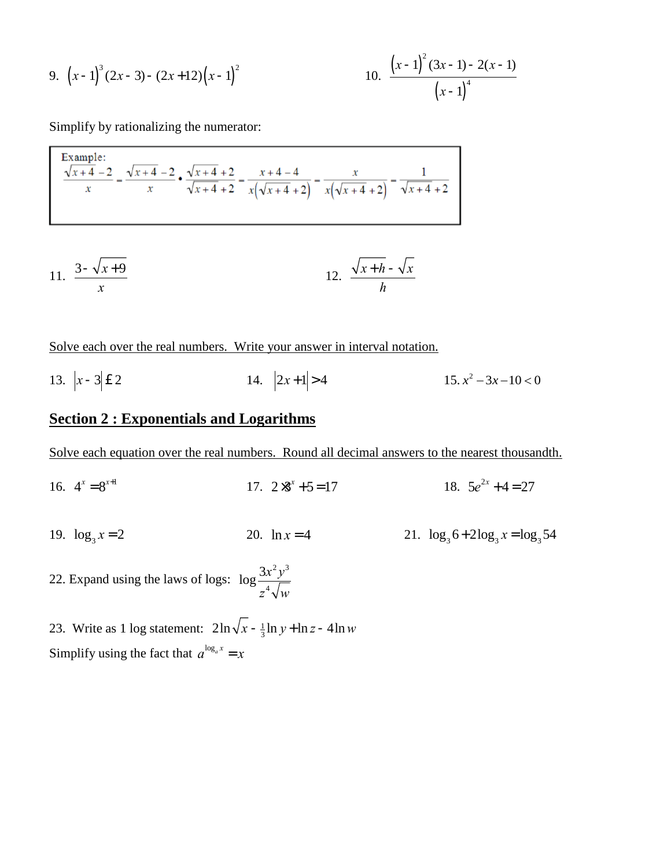9. 
$$
(x-1)^3 (2x-3) - (2x+12)(x-1)^2
$$
  
10.  $\frac{(x-1)^2 (3x-1) - 2(x-1)}{(x-1)^4}$ 

Simplify by rationalizing the numerator:

Example:  
\n
$$
\frac{\sqrt{x+4}-2}{x} = \frac{\sqrt{x+4}-2}{x} \cdot \frac{\sqrt{x+4}+2}{\sqrt{x+4}+2} = \frac{x+4-4}{x(\sqrt{x+4}+2)} = \frac{x}{x(\sqrt{x+4}+2)} = \frac{1}{\sqrt{x+4}+2}
$$

$$
11. \quad \frac{3-\sqrt{x+9}}{x} \qquad \qquad 12. \quad \frac{\sqrt{x+h}-\sqrt{x}}{h}
$$

Solve each over the real numbers. Write your answer in interval notation.

13.  $|x-3| \le 2$  14.  $|2x+1| > 4$  15.  $x^2 - 3x - 10 < 0$ 

### **Section 2 : Exponentials and Logarithms**

Solve each equation over the real numbers. Round all decimal answers to the nearest thousandth.

- 16.  $4^x = 8^{x+1}$  17.  $2 \times 3^x + 5 = 17$  18. 5e  $4^x = 8^{x+1}$  $2x + 4 = 27$
- 19.  $\log_3 x = 2$  20.  $\ln x = 4$  21.  $\log_3 6 + 2\log_3 x = \log_3 54$ 19.  $\log_3 x = 2$

22. Expand using the laws of logs:  $\log \frac{3x^2y^3}{\sqrt{2}}$ *z* 4 *w*

23. Write as 1 log statement:  $2\ln\sqrt{x} - \frac{1}{3}$ Simplify using the fact that  $a^{\log_a x} = x$  $\frac{1}{3}$ ln *y* + ln *z* - 4ln *w*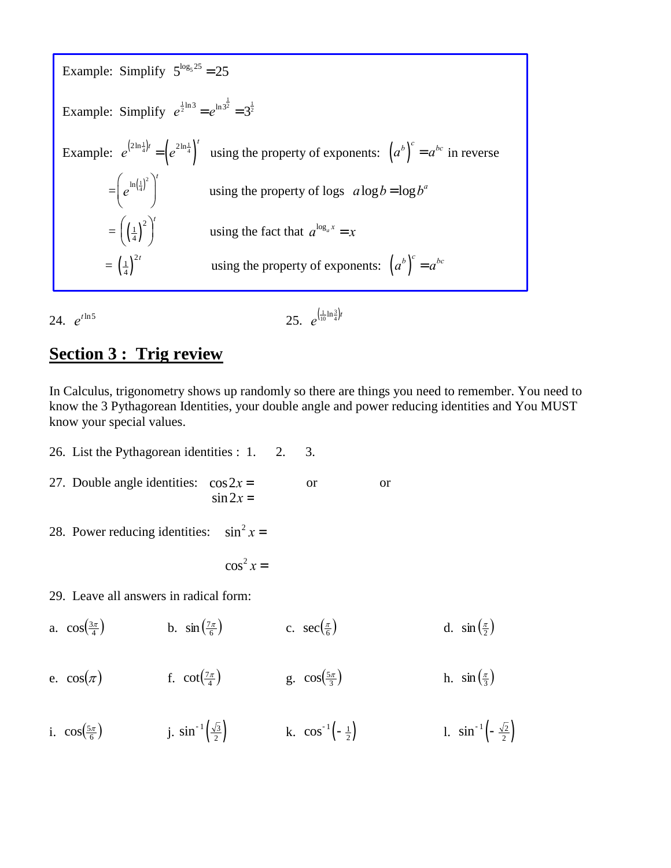Example: Simplify  $5^{\log_5 25} = 25$ Example: Simplify  $e^{\frac{1}{2} \ln 3} = e^{\ln 3^{\frac{1}{2}}} = 3^{\frac{1}{2}}$ Example:  $e^{(2\ln\frac{1}{4})t} = \left(e^{2\ln\frac{1}{4}}\right)^t$  using the property of exponents:  $\left(a^b\right)^c = a^{bc}$  in reverse  $=\left(e^{\ln\left(\frac{1}{4}\right)^2}\right)^{1}$ using the property of logs  $a \log b = \log b^a$  $=\left(\left(\frac{1}{4}\right)^2\right)^t$  using the fact that  $a^{\log_a x} = x$  $=\left(\frac{1}{4}\right)^{2t}$ using the property of exponents:  $(a^b)^c = a^{bc}$ 

25.  $e^{(\frac{1}{10}\ln\frac{3}{4})t}$ 24.  $e^{t\ln 5}$ 

### **Section 3: Trig review**

In Calculus, trigonometry shows up randomly so there are things you need to remember. You need to know the 3 Pythagorean Identities, your double angle and power reducing identities and You MUST know your special values.

26. List the Pythagorean identities : 1. 2. 3. 27. Double angle identities:  $\cos 2x =$ **or or**  $\sin 2x =$  $\sin^2 x =$ 28. Power reducing identities:  $\cos^2 x =$ 29. Leave all answers in radical form: b.  $\sin\left(\frac{7\pi}{6}\right)$  c.  $\sec\left(\frac{\pi}{6}\right)$ a.  $\cos(\frac{3\pi}{4})$ d.  $\sin\left(\frac{\pi}{2}\right)$ f.  $cot\left(\frac{7\pi}{4}\right)$  g.  $cos\left(\frac{5\pi}{3}\right)$ e.  $\cos(\pi)$ h.  $\sin\left(\frac{\pi}{3}\right)$ j.  $\sin^{-1}\left(\frac{\sqrt{3}}{2}\right)$  k.  $\cos^{-1}\left(-\frac{1}{2}\right)$ i.  $\cos\left(\frac{5\pi}{6}\right)$ 1.  $\sin^{-1}\left(-\frac{\sqrt{2}}{2}\right)$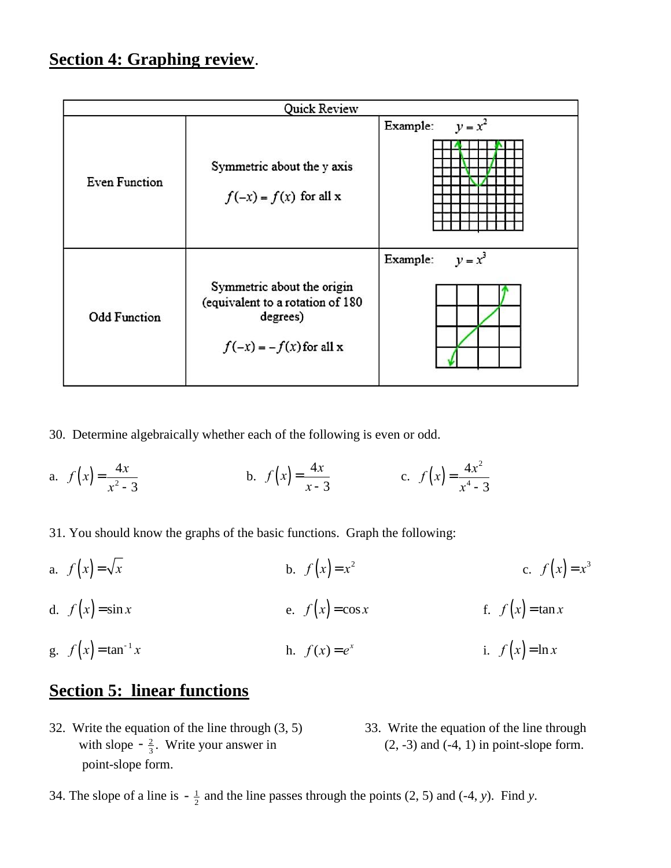# **Section 4: Graphing review**.

| Quick Review         |                                                                                                         |                       |
|----------------------|---------------------------------------------------------------------------------------------------------|-----------------------|
| <b>Even Function</b> | Symmetric about the y axis<br>$f(-x) = f(x)$ for all x                                                  | $y = x^2$<br>Example: |
| <b>Odd Function</b>  | Symmetric about the origin<br>(equivalent to a rotation of 180<br>degrees)<br>$f(-x) = -f(x)$ for all x | $y = x^3$<br>Example: |

- 30. Determine algebraically whether each of the following is even or odd.
- a.  $f(x) = \frac{4x}{x^2-2}$  b.  $f(x) = \frac{4x}{x^2}$  c.  $f(x) = \frac{4x}{2}$ *x* 2 -3 *x* -3  $f(x) = \frac{4x^2}{4}$ *x* 4 -3
- 31. You should know the graphs of the basic functions. Graph the following:
- a.  $f(x) = \sqrt{x}$ d.  $f(x) = \sin x$  **f**  $f(x) = \cos x$  **f**  $f(x) = \tan x$ g.  $f(x) = \tan^{-1} x$  h.  $f(x) = e^x$  i.  $f(x) = \sqrt{x}$  **b.**  $f(x) = x^2$  $f(x) = x^3$ *x* **h**.  $f(x) = e^x$ *i*.  $f(x) = \ln x$

## **Section 5: linear functions**

- 32. Write the equation of the line through  $(3, 5)$  33. Write the equation of the line through with slope  $-\frac{2}{3}$ . Write your answer in (2, -3) and (-4, 1) in point-slope form. point-slope form. 3
- 
- 34. The slope of a line is  $-\frac{1}{2}$  $\frac{1}{2}$  and the line passes through the points (2, 5) and (-4, *y*). Find *y*.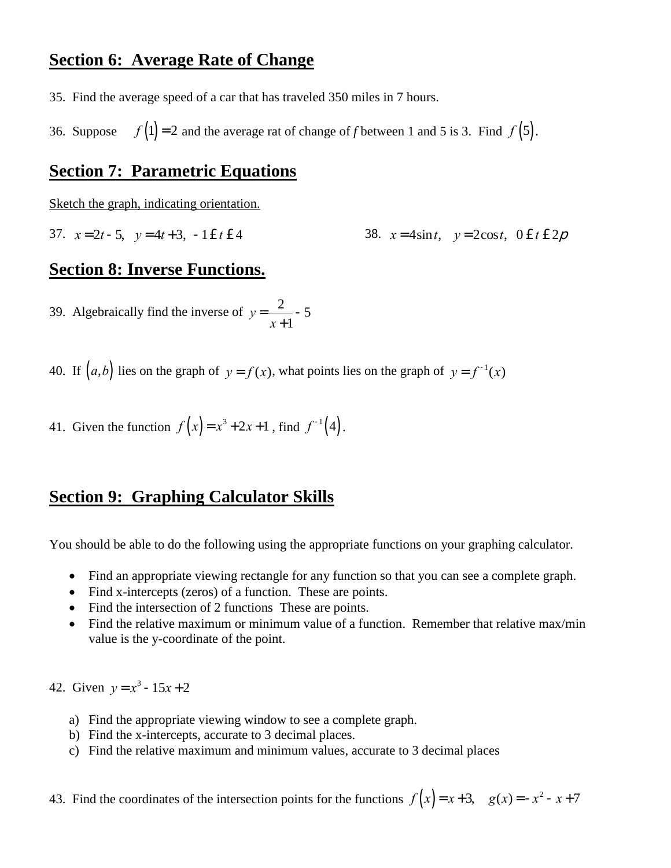### **Section 6: Average Rate of Change**

35. Find the average speed of a car that has traveled 350 miles in 7 hours.

36. Suppose  $f(1) = 2$  and the average rat of change of *f* between 1 and 5 is 3. Find  $f(5)$ .

#### **Section 7: Parametric Equations**

Sketch the graph, indicating orientation.

37.  $x = 2t - 5$ ,  $y = 4t + 3$ ,  $-1 \n\in t \n\in 4$ 38.  $x = 4\sin t$ ,  $y = 2\cos t$ ,  $0 \le t \le 2p$ 

#### **Section 8: Inverse Functions.**

39. Algebraically find the inverse of  $y = -\frac{2}{3}$ *x* +1 -5

40. If  $(a,b)$  lies on the graph of  $y = f(x)$ , what points lies on the graph of  $y = f^{-1}(x)$ 

41. Given the function 
$$
f(x) = x^3 + 2x + 1
$$
, find  $f^{-1}(4)$ .

#### **Section 9: Graphing Calculator Skills**

You should be able to do the following using the appropriate functions on your graphing calculator.

- Find an appropriate viewing rectangle for any function so that you can see a complete graph.
- Find x-intercepts (zeros) of a function. These are points.
- Find the intersection of 2 functions These are points.
- Find the relative maximum or minimum value of a function. Remember that relative max/min value is the y-coordinate of the point.

42. Given  $y = x^3 - 15x + 2$ 

- a) Find the appropriate viewing window to see a complete graph.
- b) Find the x-intercepts, accurate to 3 decimal places.
- c) Find the relative maximum and minimum values, accurate to 3 decimal places

```
43. Find the coordinates of the intersection points for the functions f(x) = x + 3, g(x) = -x^2 - x + 7
```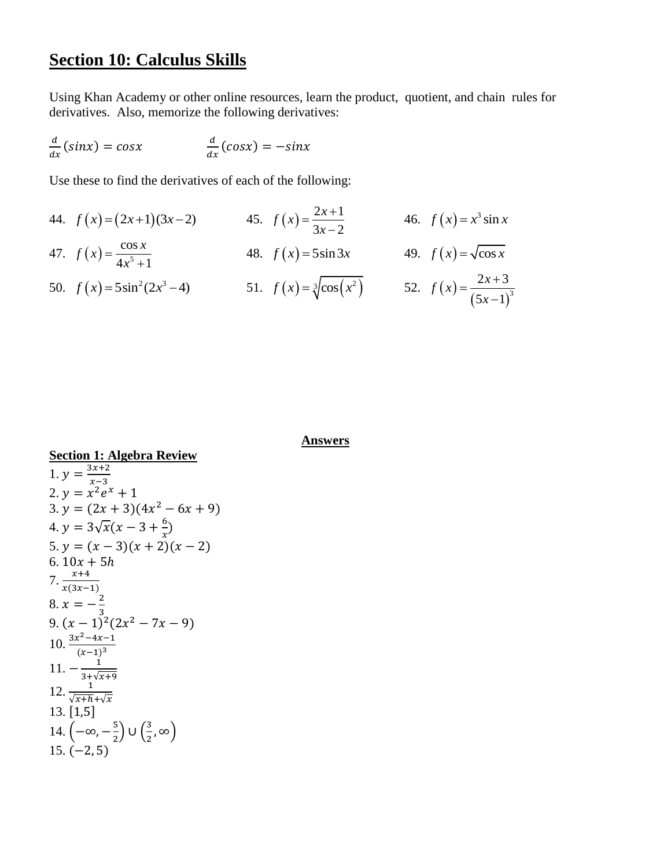#### **Section 10: Calculus Skills**

Using Khan Academy or other online resources, learn the product, quotient, and chain rules for derivatives. Also, memorize the following derivatives:

$$
\frac{d}{dx}(\sin x) = \cos x \qquad \qquad \frac{d}{dx}(\cos x) = -\sin x
$$

Use these to find the derivatives of each of the following:

44.  $f(x)=(2x+1)(3x-2)$  45.  $f(x)=\frac{2x+1}{2}$  $3x - 2$  $f(x) = \frac{2x}{2}$ *x*  $=\frac{2x+1}{2}$ -46.  $f(x) = x^3 \sin x$ 47.  $f(x) = \frac{\cos x}{4x^5}$  $4x^5 + 1$  $f(x) = \frac{\cos x}{1.5}$ *x*  $=$  $^{+}$ 48.  $f(x) = 5\sin 3x$  49.  $f(x) = \sqrt{\cos x}$ 50.  $f(x) = 5\sin^2(2x^3 - 4)$  51.  $f(x) = \sqrt[3]{\cos(x^2)}$  52.  $f(x)$  $(5x-1)^3$  $2x + 3$  $5x - 1$  $f(x) = \frac{2x}{x}$ *x*  $=\frac{2x+}{x}$ -

**Answers**

**Section 1: Algebra Review** 1.  $y = \frac{3x+2}{x-2}$  $x-3$ 2.  $y = x^2 e^x + 1$  $3. y = (2x + 3)(4x^2 - 6x + 9)$ 4.  $y = 3\sqrt{x}(x - 3 + \frac{6}{x})$  $\frac{0}{x}$ 5.  $y = (x - 3)(x + 2)(x - 2)$ 6.  $10x + 5h$  $7. \frac{x+4}{x(3x-1)}$  $8. x = -\frac{2}{3}$ 3 9.  $(x-1)^2(2x^2-7x-9)$  $10. \frac{3x^2-4x-1}{(x-4)^3}$  $(x-1)^3$  $11. - \frac{1}{2 + \sqrt{2}}$  $\frac{3+\sqrt{x+9}}{12. \frac{1}{\sqrt{x+h}+\sqrt{x}}}$ 13. [1,5] 14.  $\left(-\infty, -\frac{5}{3}\right)$  $\frac{5}{2}$ ) ∪ $\left(\frac{3}{2}\right)$  $\frac{3}{2}$ ,  $\infty$ )  $15. (-2.5)$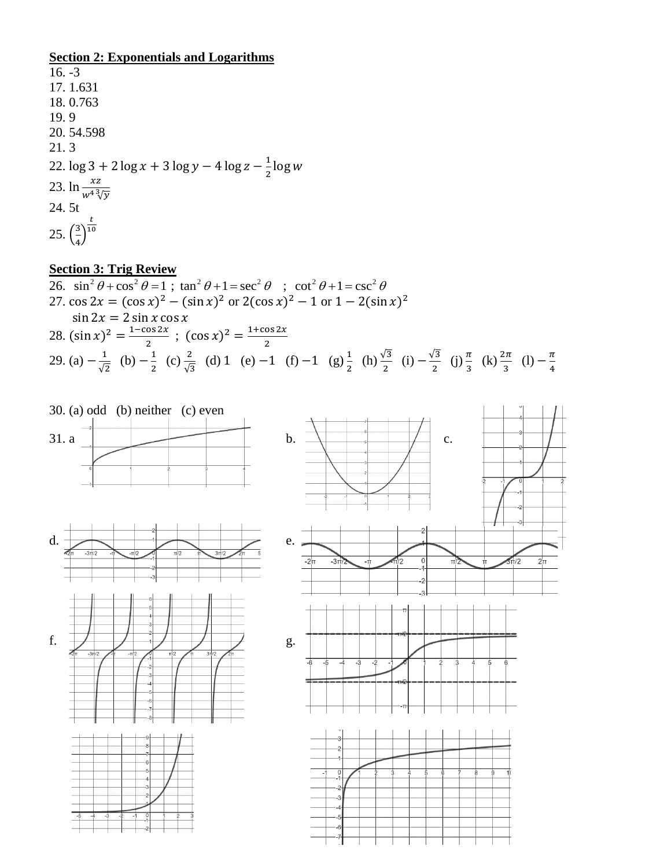### **Section 2: Exponentials and Logarithms**

 $16. -3$ 17. 1.631 18. 0.763 19. 9 20. 54.598 21. 3 22.  $\log 3 + 2 \log x + 3 \log y - 4 \log z - \frac{1}{3}$  $\frac{1}{2}$ log w 23.  $\ln \frac{xz}{w^4 \sqrt[3]{y}}$ 24. 5t 25.  $\left(\frac{3}{4}\right)$  $\frac{5}{4}$ t 10

#### **Section 3: Trig Review**

26. 
$$
\sin^2 \theta + \cos^2 \theta = 1
$$
;  $\tan^2 \theta + 1 = \sec^2 \theta$ ;  $\cot^2 \theta + 1 = \csc^2 \theta$   
\n27.  $\cos 2x = (\cos x)^2 - (\sin x)^2$  or  $2(\cos x)^2 - 1$  or  $1 - 2(\sin x)^2$   
\n $\sin 2x = 2 \sin x \cos x$   
\n28.  $(\sin x)^2 = \frac{1 - \cos 2x}{2}$ ;  $(\cos x)^2 = \frac{1 + \cos 2x}{2}$   
\n29. (a)  $-\frac{1}{\sqrt{2}}$  (b)  $-\frac{1}{2}$  (c)  $\frac{2}{\sqrt{3}}$  (d) 1 (e) -1 (f) -1 (g)  $\frac{1}{2}$  (h)  $\frac{\sqrt{3}}{2}$  (i)  $-\frac{\sqrt{3}}{2}$  (j)  $\frac{\pi}{3}$  (k)  $\frac{2\pi}{3}$  (l)  $-\frac{\pi}{4}$